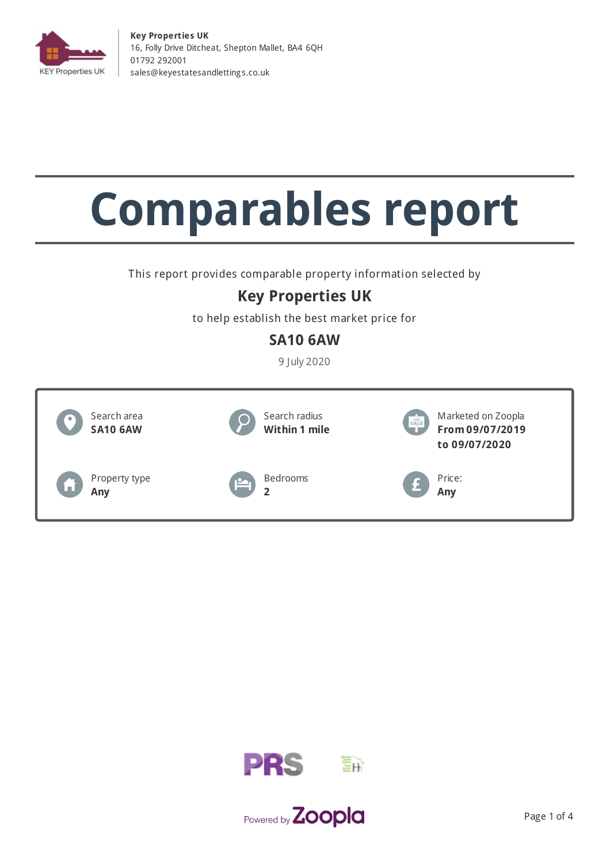

**Key Properties UK** 16, Folly Drive Ditcheat, Shepton Mallet, BA4 6QH 01792 292001 [sales@keyestatesandletting](mailto:sales@keyestatesandlettings.co.uk) s.co.uk

# **Comparables report**

This report provides comparable property information selected by

#### **Key Properties UK**

to help establish the best market price for

#### **SA10 6AW**

9 July 2020





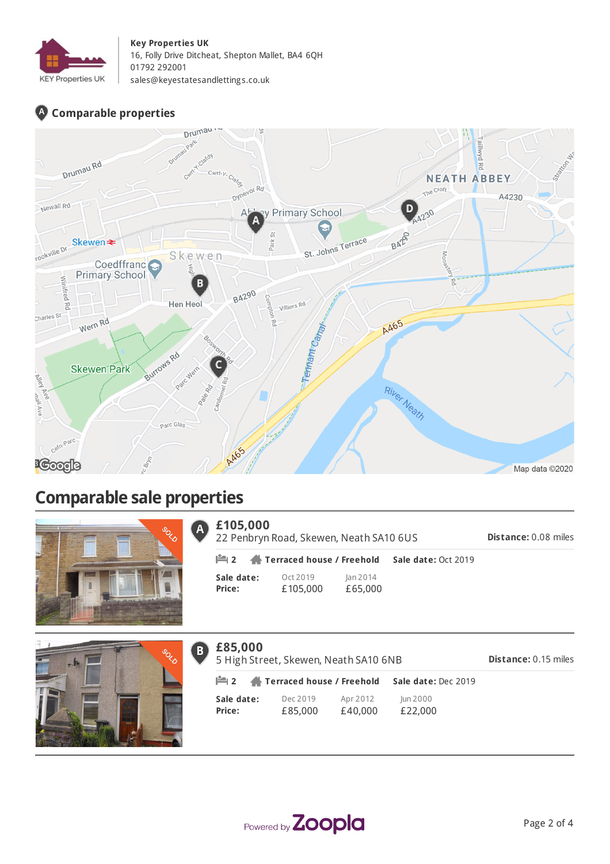

#### **Key Properties UK**

16, Folly Drive Ditcheat, Shepton Mallet, BA4 6QH 01792 292001 [sales@keyestatesandletting](mailto:sales@keyestatesandlettings.co.uk) s.co.uk

#### **Comparable properties**



#### **Comparable sale properties**

 $\overline{P}$ 



| £105,000<br>22 Penbryn Road, Skewen, Neath SA10 6US   |                      |                     |                     |  |  |  |
|-------------------------------------------------------|----------------------|---------------------|---------------------|--|--|--|
| $\mathbb{P}$ 2 $\mathbb{A}$ Terraced house / Freehold |                      |                     | Sale date: Oct 2019 |  |  |  |
| Sale date:<br>Price:                                  | Oct 2019<br>£105,000 | Jan 2014<br>£65,000 |                     |  |  |  |



| B. | £85,000<br>5 High Street, Skewen, Neath SA10 6NB      | <b>Distance: 0.15 miles</b> |                     |                     |  |
|----|-------------------------------------------------------|-----------------------------|---------------------|---------------------|--|
|    | $\mathbb{H}$ 2 $\mathbb{A}$ Terraced house / Freehold |                             | Sale date: Dec 2019 |                     |  |
|    | Sale date:<br>Price:                                  | Dec 2019<br>£85,000         | Apr 2012<br>£40,000 | Jun 2000<br>£22,000 |  |



**Distance:** 0.08 miles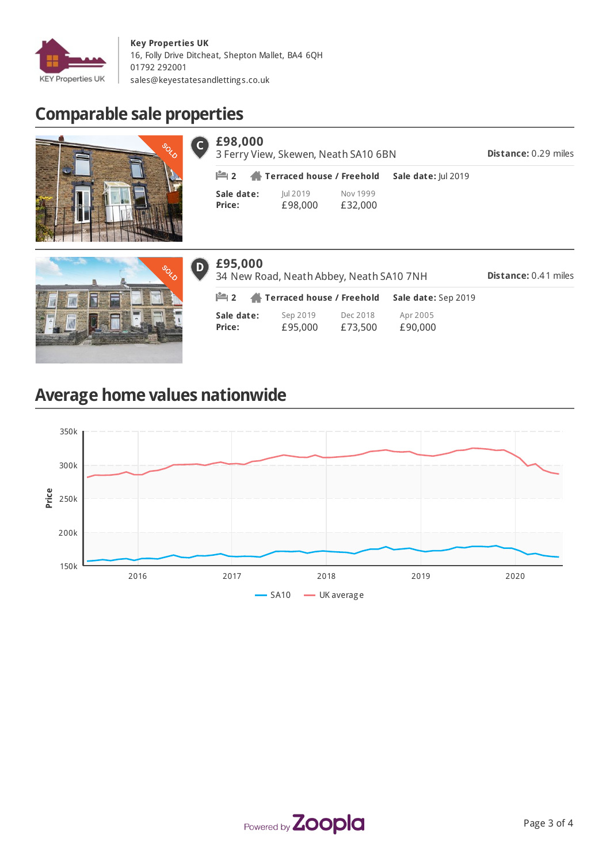

# **Comparable sale properties**





| £95,000<br><b>Distance: 0.41 miles</b><br>34 New Road, Neath Abbey, Neath SA10 7NH |                     |                     |                     |  |  |
|------------------------------------------------------------------------------------|---------------------|---------------------|---------------------|--|--|
| $\mathbf{m}_2$<br>Terraced house / Freehold                                        |                     |                     | Sale date: Sep 2019 |  |  |
| Sale date:<br>Price:                                                               | Sep 2019<br>£95,000 | Dec 2018<br>£73,500 | Apr 2005<br>£90,000 |  |  |

# **Average home values nationwide**